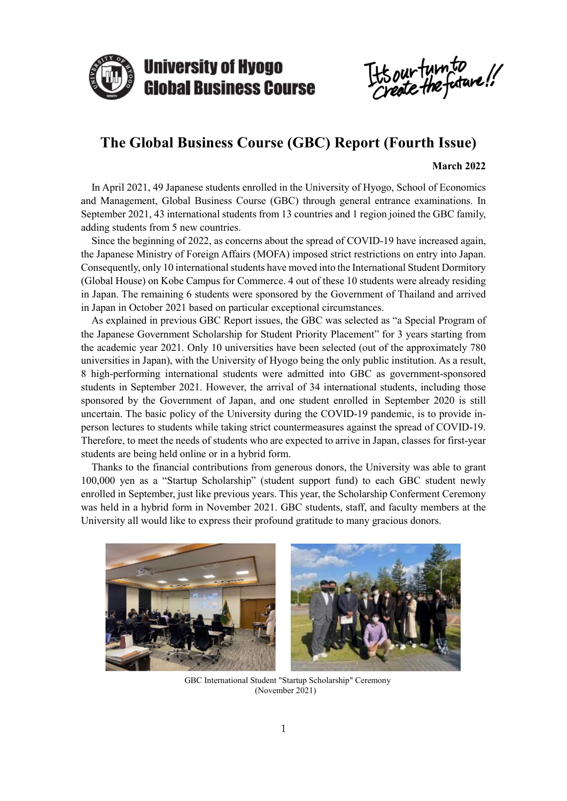

It's our turn to

# **The Global Business Course (GBC) Report (Fourth Issue)**

#### **March 2022**

In April 2021, 49 Japanese students enrolled in the University of Hyogo, School of Economics and Management, Global Business Course (GBC) through general entrance examinations. In September 2021, 43 international students from 13 countries and 1 region joined the GBC family, adding students from 5 new countries.

Since the beginning of 2022, as concerns about the spread of COVID-19 have increased again, the Japanese Ministry of Foreign Affairs (MOFA) imposed strict restrictions on entry into Japan. Consequently, only 10 international students have moved into the International Student Dormitory (Global House) on Kobe Campus for Commerce. 4 out of these 10 students were already residing in Japan. The remaining 6 students were sponsored by the Government of Thailand and arrived in Japan in October 2021 based on particular exceptional circumstances.

As explained in previous GBC Report issues, the GBC was selected as "a Special Program of the Japanese Government Scholarship for Student Priority Placement" for 3 years starting from the academic year 2021. Only 10 universities have been selected (out of the approximately 780 universities in Japan), with the University of Hyogo being the only public institution. As a result, 8 high-performing international students were admitted into GBC as government-sponsored students in September 2021. However, the arrival of 34 international students, including those sponsored by the Government of Japan, and one student enrolled in September 2020 is still uncertain. The basic policy of the University during the COVID-19 pandemic, is to provide inperson lectures to students while taking strict countermeasures against the spread of COVID-19. Therefore, to meet the needs of students who are expected to arrive in Japan, classes for first-year students are being held online or in a hybrid form.

Thanks to the financial contributions from generous donors, the University was able to grant 100,000 yen as a "Startup Scholarship" (student support fund) to each GBC student newly enrolled in September, just like previous years. This year, the Scholarship Conferment Ceremony was held in a hybrid form in November 2021. GBC students, staff, and faculty members at the University all would like to express their profound gratitude to many gracious donors.



GBC International Student "Startup Scholarship" Ceremony (November 2021)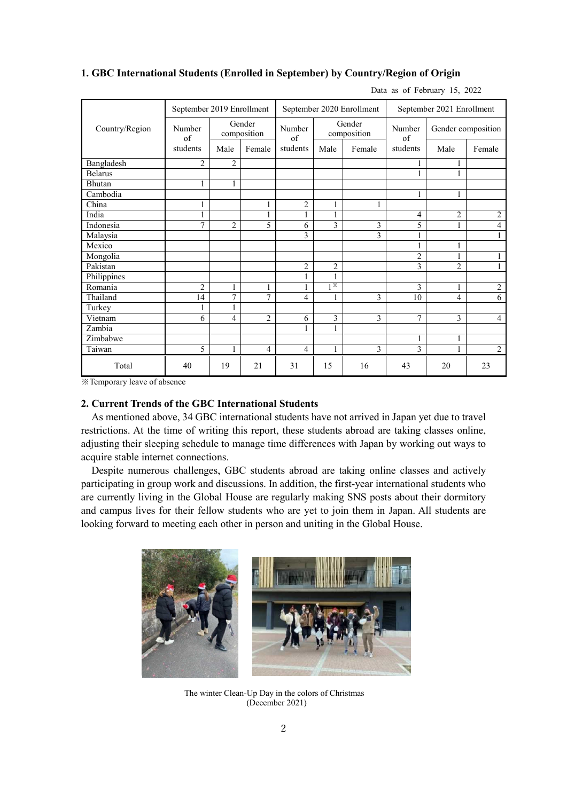| Country/Region | September 2019 Enrollment |                       |                | September 2020 Enrollment |                       |                | September 2021 Enrollment |                    |                |
|----------------|---------------------------|-----------------------|----------------|---------------------------|-----------------------|----------------|---------------------------|--------------------|----------------|
|                | Number<br>of              | Gender<br>composition |                | Number<br>of              | Gender<br>composition |                | Number<br>of              | Gender composition |                |
|                | students                  | Male                  | Female         | students                  | Male                  | Female         | students                  | Male               | Female         |
| Bangladesh     | $\overline{2}$            | 2                     |                |                           |                       |                |                           | 1                  |                |
| <b>Belarus</b> |                           |                       |                |                           |                       |                | 1                         | 1                  |                |
| Bhutan         | 1                         | 1                     |                |                           |                       |                |                           |                    |                |
| Cambodia       |                           |                       |                |                           |                       |                | 1                         | 1                  |                |
| China          |                           |                       | $\mathbf{1}$   | 2                         |                       | 1              |                           |                    |                |
| India          | 1                         |                       | $\mathbf{1}$   | 1                         | 1                     |                | 4                         | $\overline{2}$     | $\overline{2}$ |
| Indonesia      | 7                         | $\overline{2}$        | 5              | 6                         | 3                     | $\overline{3}$ | 5                         | 1                  | $\overline{4}$ |
| Malaysia       |                           |                       |                | 3                         |                       | $\mathfrak{Z}$ | $\mathbf{1}$              |                    | 1              |
| Mexico         |                           |                       |                |                           |                       |                | $\mathbf{1}$              | 1                  |                |
| Mongolia       |                           |                       |                |                           |                       |                | $\overline{2}$            | 1                  | 1              |
| Pakistan       |                           |                       |                | $\mathbf{2}$              | $\overline{c}$        |                | 3                         | $\overline{2}$     | $\mathbf{1}$   |
| Philippines    |                           |                       |                | 1                         | $\mathbf{1}$          |                |                           |                    |                |
| Romania        | $\overline{2}$            | $\mathbf{1}$          | $\mathbf{1}$   | $\mathbf{1}$              | $1^*$                 |                | 3                         | 1                  | $\overline{2}$ |
| Thailand       | 14                        | 7                     | 7              | 4                         | 1                     | 3              | 10                        | 4                  | 6              |
| Turkey         | 1                         | $\mathbf{1}$          |                |                           |                       |                |                           |                    |                |
| Vietnam        | 6                         | 4                     | $\overline{2}$ | 6                         | 3                     | 3              | 7                         | 3                  | $\overline{4}$ |
| Zambia         |                           |                       |                | 1                         | 1                     |                |                           |                    |                |
| Zimbabwe       |                           |                       |                |                           |                       |                | $\mathbf{1}$              | 1                  |                |
| Taiwan         | 5                         | $\mathbf{1}$          | $\overline{4}$ | $\overline{4}$            | $\mathbf{1}$          | 3              | 3                         | 1                  | $\overline{2}$ |
| Total          | 40                        | 19                    | 21             | 31                        | 15                    | 16             | 43                        | 20                 | 23             |

#### **1. GBC International Students (Enrolled in September) by Country/Region of Origin**

Data as of February 15, 2022

※Temporary leave of absence

### **2. Current Trends of the GBC International Students**

As mentioned above, 34 GBC international students have not arrived in Japan yet due to travel restrictions. At the time of writing this report, these students abroad are taking classes online, adjusting their sleeping schedule to manage time differences with Japan by working out ways to acquire stable internet connections.

Despite numerous challenges, GBC students abroad are taking online classes and actively participating in group work and discussions. In addition, the first-year international students who are currently living in the Global House are regularly making SNS posts about their dormitory and campus lives for their fellow students who are yet to join them in Japan. All students are looking forward to meeting each other in person and uniting in the Global House.



The winter Clean-Up Day in the colors of Christmas (December 2021)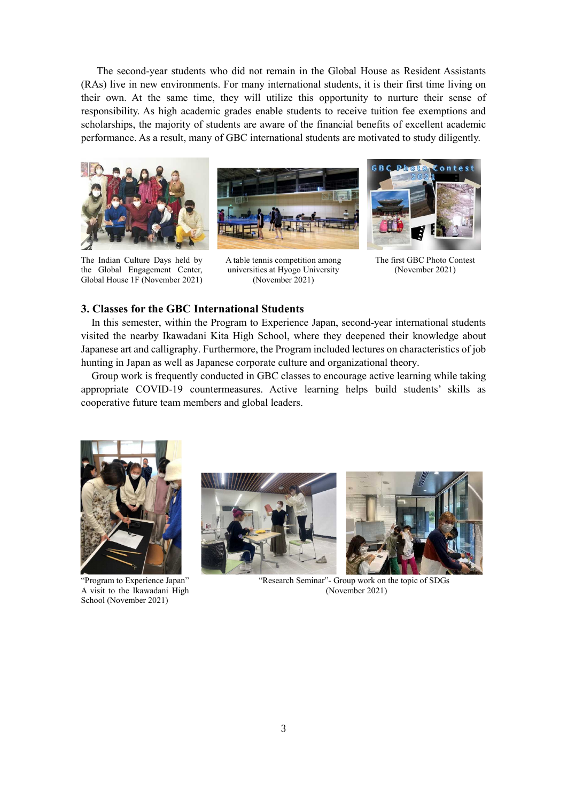The second-year students who did not remain in the Global House as Resident Assistants (RAs) live in new environments. For many international students, it is their first time living on their own. At the same time, they will utilize this opportunity to nurture their sense of responsibility. As high academic grades enable students to receive tuition fee exemptions and scholarships, the majority of students are aware of the financial benefits of excellent academic performance. As a result, many of GBC international students are motivated to study diligently.



The Indian Culture Days held by the Global Engagement Center, Global House 1F (November 2021)



A table tennis competition among universities at Hyogo University (November 2021)



The first GBC Photo Contest (November 2021)

#### **3. Classes for the GBC International Students**

In this semester, within the Program to Experience Japan, second-year international students visited the nearby Ikawadani Kita High School, where they deepened their knowledge about Japanese art and calligraphy. Furthermore, the Program included lectures on characteristics of job hunting in Japan as well as Japanese corporate culture and organizational theory.

Group work is frequently conducted in GBC classes to encourage active learning while taking appropriate COVID-19 countermeasures. Active learning helps build students' skills as cooperative future team members and global leaders.



"Program to Experience Japan" A visit to the Ikawadani High School (November 2021)





"Research Seminar"- Group work on the topic of SDGs (November 2021)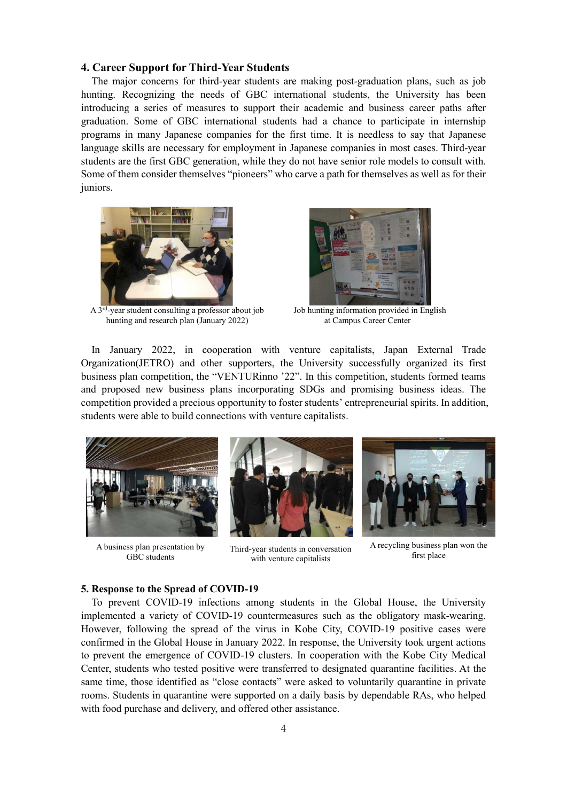#### **4. Career Support for Third-Year Students**

The major concerns for third-year students are making post-graduation plans, such as job hunting. Recognizing the needs of GBC international students, the University has been introducing a series of measures to support their academic and business career paths after graduation. Some of GBC international students had a chance to participate in internship programs in many Japanese companies for the first time. It is needless to say that Japanese language skills are necessary for employment in Japanese companies in most cases. Third-year students are the first GBC generation, while they do not have senior role models to consult with. Some of them consider themselves "pioneers" who carve a path for themselves as well as for their juniors.



A 3<sup>rd</sup>-year student consulting a professor about job hunting and research plan (January 2022)



Job hunting information provided in English at Campus Career Center

In January 2022, in cooperation with venture capitalists, Japan External Trade Organization(JETRO) and other supporters, the University successfully organized its first business plan competition, the "VENTURinno '22". In this competition, students formed teams and proposed new business plans incorporating SDGs and promising business ideas. The competition provided a precious opportunity to foster students' entrepreneurial spirits. In addition, students were able to build connections with venture capitalists.



A business plan presentation by GBC students



Third-year students in conversation with venture capitalists



A recycling business plan won the first place

#### **5. Response to the Spread of COVID-19**

To prevent COVID-19 infections among students in the Global House, the University implemented a variety of COVID-19 countermeasures such as the obligatory mask-wearing. However, following the spread of the virus in Kobe City, COVID-19 positive cases were confirmed in the Global House in January 2022. In response, the University took urgent actions to prevent the emergence of COVID-19 clusters. In cooperation with the Kobe City Medical Center, students who tested positive were transferred to designated quarantine facilities. At the same time, those identified as "close contacts" were asked to voluntarily quarantine in private rooms. Students in quarantine were supported on a daily basis by dependable RAs, who helped with food purchase and delivery, and offered other assistance.